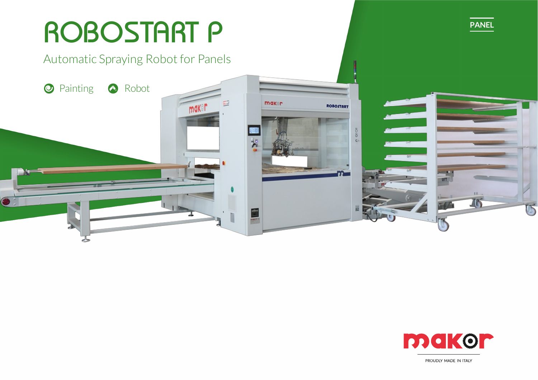# ROBOSTART P **PANEL** Automatic Spraying Robot for Panels O Painting <sup>2</sup> Robot maker  $\Xi^2$ maker ROBOSTART  $\frac{1}{2}$ ×



PROUDLY MADE IN ITALY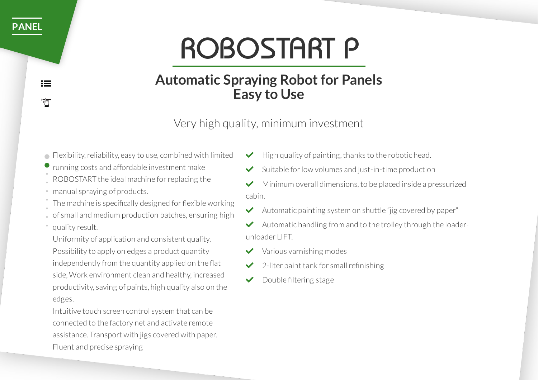# ROBOSTART P

# **Automatic Spraying Robot for Panels Easy to Use**

Very high quality, minimum investment

- Flexibility, reliability, easy to use, combined with limited
- running costs and affordable investment make
- ROBOSTART the ideal machine forreplacing the
- manual spraying of products.
- The machine is specifically designed for flexible working
- of small and medium production batches, ensuring high
- quality result.
- Uniformity of application and consistent quality, Possibility to apply on edges a product quantity independently from the quantity applied on the flat side, Work environment clean and healthy, increased productivity, saving of paints, high quality also on the edges.

Intuitive touch screen control system that can be connected to the factory net and activate remote assistance. Transport with jigs covered with paper. Fluent and precise spraying

- High quality of painting, thanks to the robotic head.
- Suitable for low volumes and just-in-time production
- Minimum overall dimensions, to be placed inside a pressurized cabin.
- $\blacktriangleright$  Automatic painting system on shuttle "jig covered by paper"
- Automatic handling from and to the trolley through the loaderunloader LIFT.
- Various varnishing modes
- 2-liter paint tank for small refinishing
- Double filtering stage

**[PANEL](https://makordev.swa-creative.com/staging/en/product-category/panel-en/)**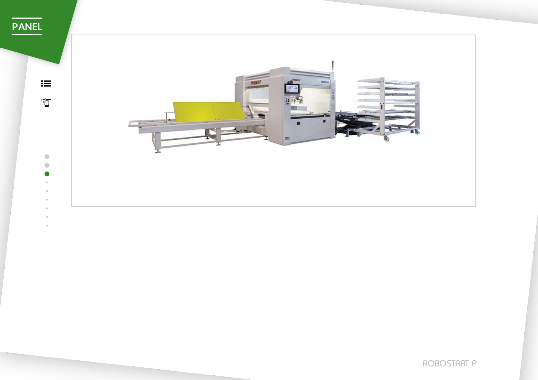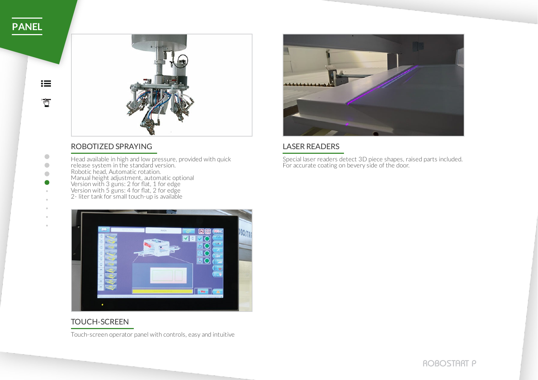$\bullet$ 



### ROBOTIZED SPRAYING LASER READERS

- Head available in high and low pressure, provided with quick release system in the standard version. Robotic head, Automatic rotation.
- Manual height adjustment, automatic optional
- Version with 3 guns: 2 for flat, 1 for edge
	- Version with 5 guns: 4 for flat, 2 for edge
	- 2- liter tank for small touch-up is available



Special laser readers detect 3D piece shapes, raised parts included. For accurate coating on bevery side of the door.



### TOUCH-SCREEN

Touch-screen operator panel with controls, easy and intuitive

ROBOSTART P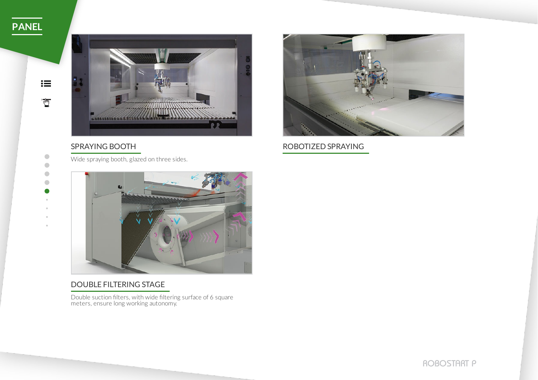$i \equiv$ 

 $\sum_{i=1}^{n}$ 

 $\bullet$  $\bullet$  $\begin{array}{ccc} \bullet & \bullet & \bullet \\ \bullet & \bullet & \bullet \end{array}$ 



Wide spraying booth, glazed on three sides.



SPRAYING BOOTH ROBOTIZED SPRAYING



### DOUBLE FILTERING STAGE

Double suction filters, with wide filtering surface of 6 square meters, ensure long working autonomy.

ROBOSTART P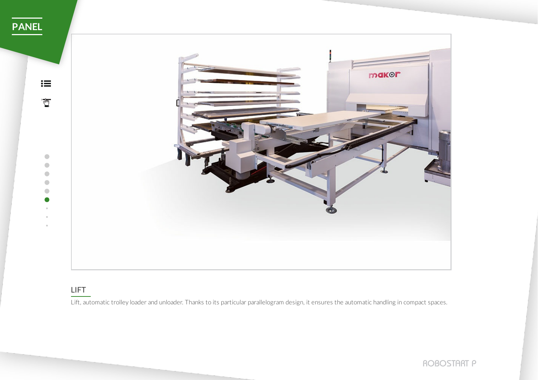

### LIFT

Lift, automatic trolley loader and unloader. Thanks to its particular parallelogram design, it ensures the automatic handling in compact spaces.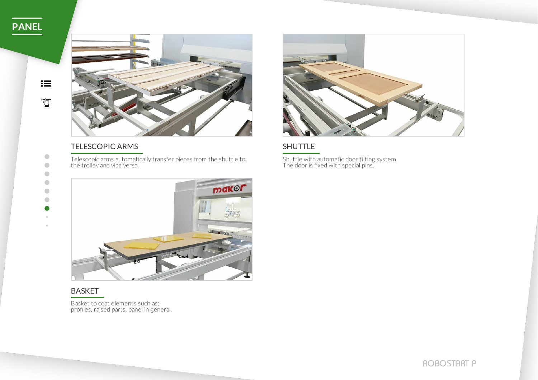$\bullet$  $\begin{array}{ccc} \bullet & \bullet & \bullet \\ \bullet & \bullet & \bullet \end{array}$  $\begin{array}{ccc} \bullet & \bullet & \bullet \\ \bullet & \bullet & \bullet \end{array}$  $\bullet$ 

 $\begin{array}{ccc} \bullet & \bullet & \bullet \\ \bullet & \bullet & \bullet \end{array}$  $\begin{array}{c} \bullet \\ \bullet \end{array}$ 



### TELESCOPIC ARMS SHUTTLE

Telescopic arms automatically transfer pieces from the shuttle to the trolley and vice versa.



Shuttle with automatic door tilting system. The door is fixed with special pins.



### BASKET

Basket to coat elements such as: profiles, raised parts, panel in general.

ROBOSTART P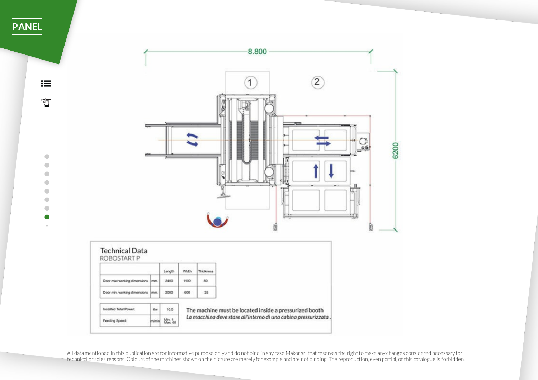$:=$  $\overline{\mathbb{C}}$ 

> $\bullet$  $\bullet$  $\bullet$

> $\bullet$  $\begin{array}{ccc} \bullet & \bullet & \bullet \\ \bullet & \bullet & \bullet \end{array}$  $\bullet$  $\alpha$



All datamentioned in this publication are for informative purpose only and do not bind in any case Makor srl that reserves the right to make any changes considered necessary for technical or sales reasons.Colours of the machines shown on the picture are merely for example and are not binding. The reproduction, even partial, of this catalogue is forbidden.